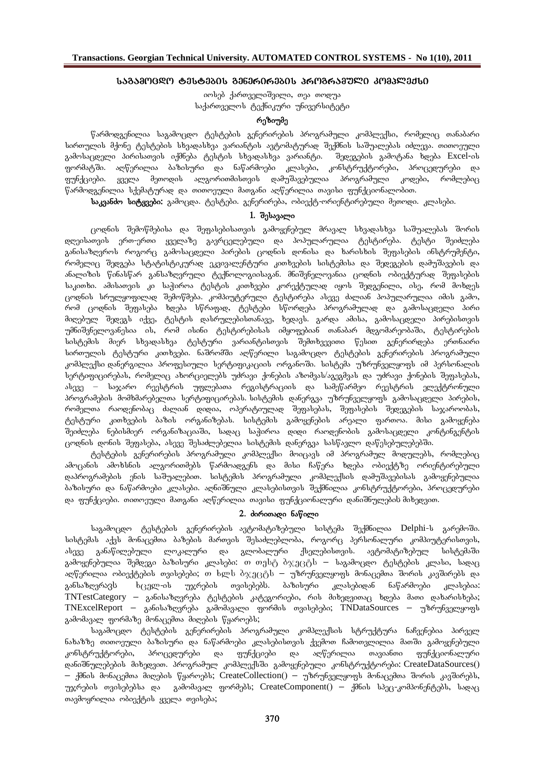# **sagamocdo testebis generirebis programuli kompleqsi**

იოსებ ქართველიშვილი, თეა თოდუა საქართველოს ტექნიკური უნივერსიტეტი

# რეზიუმე

წარმოდგენილია საგამოცდო ტესტების გენერირების პროგრამული კომპლექსი, რომელიც თანაბარი სირთულის მქონე ტესტების სხვადასხვა ვარიანტის ავტომატურად შექმნის საშუალებას იძლევა. თითოეული გამოსაცდელი პირისათვის იქმნება ტესტის სხვადასხვა ვარიანტი. შედეგების გამოტანა ხდება Excel-ის .<br>ფორმატში. აღწერილია ბაზისური და ნაწარმოები კლასები, კონსტრუქტორები, პროცედურები და funqciebi. yvela meTodis algoriTmisTvis damuSavebulia programuli kodebi, romlebic წარმოდგენილია სქემატურად და თითოეული მათგანი აღწერილია თავისი ფუნქციონალობით.

**საკვანძო სიტყვები:** გამოცდა. ტესტები. გენერირება, ობიექტ-ორიენტირებული მეთოდი. კლასები.

## 1. **J**alusasmo

 $\alpha$ დნის შემოწმებისა და შეფასებისათვის გამოყენებულ მრავალ სხვადასხვა საშუალებას შორის დღეისათვის ერთ-ერთი ყველაზე გავრცელებული და პოპულარულია ტესტირება. ტესტი შეიძლება განისაზღვროს როგორც გამოსაცდელი პირების ცოდნის დონისა და ხარისხის შეფასების ინსტრუმენტი, რომელიც შედგება სტატისტიკურად ეკვივალენტური კითხვების სისტემისა და შედეგების დამუშავების და ანალიზის წინასწარ განსაზღვრული ტექნოლოგიისაგან. მნიშვნელოვანია ცოდნის ობიექტურად შეფასების საკითხი. ამისათვის კი საჭიროა ტესტის კითხვები კორექტულად იყოს შედგენილი, ისე, რომ მოხდეს ცოდნის სრულყოფილად შემოწმება. კომპიუტერული ტესტირება ასევე ძალიან პოპულარულია იმის გამო, რომ ცოდნის შეფასება ხდება სწრაფად, ტესტები სწორდება პროგრამულად და გამოსაცდელი პირი <mark>მიღებულ შედეგს იქვე, ტესტის დასრულებისთანავე, ხედავს. გარდა ამისა, გამოსაცდელი პირებისთვის</mark> უმნიშვნელოვანესია ის, რომ ისინი ტესტირებისას იმყოფებიან თანაბარ მდგომარეობაში, ტესტირების სისტემის მიერ სხვადასხვა ტესტური ვარიანტისთვის შემთხვევითი წესით გენერირდება ერთნაირი სირთულის ტესტური კითხვები. ნაშრომში აღწერილი საგამოცდო ტესტების გენერირების პროგრამული ,კომპლექსი დანერგილია პროფესიული სერტიფიკაციის ორგანოში. სისტემა უზრუნველყოფს იმ პერსონალის სერტიფიცირებას, რომელიც ახორციელებს უძრავი ქონების აზომვას/აგეგმვას და უძრავი ქონების შეფასებას,  $\delta$ ასევე – საჯარო რეესტრის უფლებათა რეგისტრაციის და სამეწარმეო რეესტრის ელექტრონული პროგრამების მომხმარებელთა სერტიფიცირებას. სისტემის დანერგვა უზრუნველყოფს გამოსაცდელი პირების<mark>,</mark> რომელთა რაოდენობაც ძალიან დიდია, ოპერატიულად შეფასებას, შეფასების შედეგების საჯაროობას, ტესტური კითხვების ბაზის ორგანიზებას. სისტემის გამოყენების არეალი ფართოა. მისი გამოყენება .<br>შეიძლება ნებისმიერ ორგანიზაციაში, სადაც საჭიროა დიდი რაოდენობის გამოსაცდელი კონტინგენტის  $\alpha$ ეოდნის დონის შეფასება, ასევე შესაძლებელია სისტემის დანერგვა სასწავლო დაწესებულებებში.

<sub>.</sub><br>ტესტების გენერირების პროგრამული კომპლექსი მოიცავს იმ პროგრამულ მოდულებს, რომლებიც ამოცანის ამოხსნის ალგორითმებს წარმოადგენს და მისი ჩაწერა ხდება ობიექტზე ორიენტირებული . დაპროგრამების ენის საშუალებით. სისტემის პროგრამული კომპლექსის დამუშავებისას გამოყენებულია ბაზისური და ნაწარმოები კლასები. აღნიშნული კლასებისთვის შექმნილია კონსტრუქტორები, პროცედურები და ფუნქციები. თითოეული მათგანი აღწერილია თავისი ფუნქციონალური დანიშნულების მიხედვით.

# 2. doრითადი **ნაწილი**

საგამოცდო ტესტების გენერირების ავტომატიზებული სისტემა შექმნილია Delphi-ს გარემოში. სისტემას აქვს მონაცემთა ბაზების მართვის შესაძლებლობა, როგორც პერსონალური კომპიუტერისთვის, ასევე განაწილებული ლოკალური და გლობალური ქსელებისთვის. ავტომატიზებულ სისტემაში გამოყენებულია შემდეგი ბაზისური კლასები: თ თესტ ბ $\chi$ ეცტ $\rm b$  – საგამოცდო ტესტების კლასი, სადაც აღწერილია ობიექტების თვისებები; თ ხლ $\bar{b}$  ბ $\chi$ ეცტ $\bar{b}$  – უზრუნველყოფს მონაცემთა შორის კავშირებს და განსაზღვრავს  $b_{(3)}$ ლ-ის უჯრების თვისებებს. ბაზისური კლასებიდან ნაწარმოები კლასებია:  $\text{TNTestCategory}$  — განისაზღვრება ტესტების კატეგორიები, რის მიხედვითაც ხდება მათი დახარისხება;  $TNExceIReport -$  განისაზღვრება გამომავალი ფორმის თვისებები;  $TNDataSource -$  უზრუნველყოფს  $a$ ამომავალ ფორმაზე მონაცემთა მიღების წყაროებს;

საგამოცდო ტესტების გენერირების პროგრამული კომპლექსის სტრუქტურა ნაჩვენებია პირველ ნახაზზე თითოეული ბაზისური და ნაწარმოები კლასებისთვის ქვემოთ ჩამოთვლილია მათში გამოყენებული .<br>კონსტრუქტორები, პროცედურები და ფუნქციები და აღწერილია თავიანთი ფუნქციონალური დანიშნულებების მიხედვით. პროგრამულ კომპლექსში გამოყენებული კონსტრუქტორები: CreateDataSources()  $-$  ქმნის მონაცემთა მიღების წყაროებს; CreateCollection() — უზრუნველყოფს მონაცემთა შორის კავშირებს, უჯრების თვისებებსა და გამომავალ ფორმებს; CreateComponent() — ქმნის სპეც-კომპონენტებს, სადაც თავმოყრილია ობიექტის ყველა თვისება;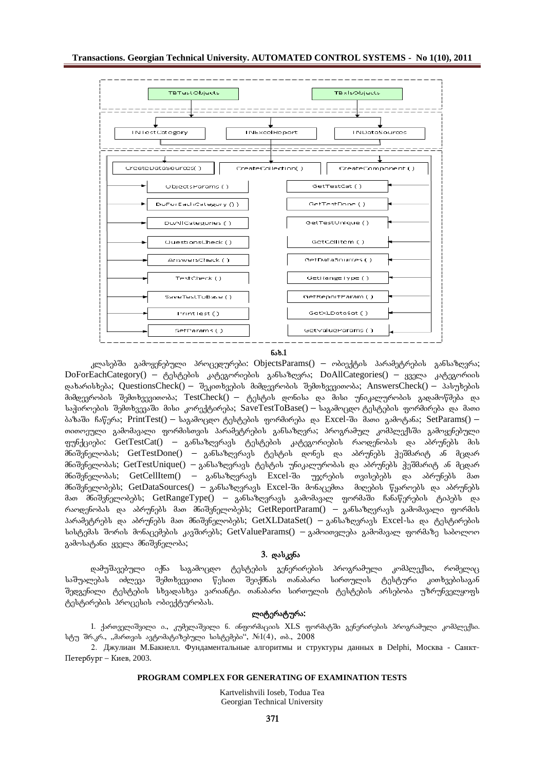

**nax.1**

 $_{\rm A}$ ლასებში გამოყენებული პროცედურები: ObjectsParams() — ობიექტის პარამეტრების განსაზღვრა;  $DoForEachCategory() -  $\delta$ ესტების კატეგორიების განსაზღვრა; DoAllCategories() – ყველა კატეგორიის$ დახარისხება; QuestionsCheck() – შეკითხვების მიმდევრობის შემთხვევითობა; AnswersCheck() – პასუხების მიმდევრობის შემთხვევითობა; TestCheck() – ტესტის დონისა და მისი უნიკალურობის გადამოწმება და საჭიროების შემთხვევაში მისი კორექტირება; SaveTestToBase() – საგამოცდო ტესტების ფორმირება და მათი  $\delta$ აზაში ჩაწერა; PrintTest() – საგამოცდო ტესტების ფორმირება და Excel-ში მათი გამოტანა; SetParams() – თითოეული გამომავალი ფორმისთვის პარამეტრების განსაზღვრა; პროგრამულ კომპლექსში გამოყენებული ფუნქციები:  $GetTestCat() - 3$ ანსაზღვრავს ტესტების კატეგორიების რაოდენობას და აბრუნებს მის მნიშვნელობას; GetTestDone() — განსაზღვრავს ტესტის დონეს და აბრუნებს ჭეშმარიტ ან მცდარ მნიშვნელობას; GetTestUnique() – განსაზღვრავს ტესტის უნიკალურობას და აბრუნებს ჭეშმარიტ ან მცდარ მნიშვნელობას; GetCellItem() – განსაზღვრავს Excel-ში უჯრების თვისებებს და აბრუნებს მათ მნიშვნელობებს; GetDataSources() — განსაზღვრავს Excel-ში მონაცემთა მიღების წყაროებს და აბრუნებს მათ მნიშვნელობებს; GetRangeType() – განსაზღვრავს გამომავალ ფორმაში ჩანაწერების ტიპებს და რაოდენობას და აბრუნებს მათ მნიშვნელობებს; GetReportParam() — განსაზღვრავს გამომავალი ფორმის პარამეტრებს და აბრუნებს მათ მნიშვნელობებს; GetXLDataSet() — განსაზღვრავს Excel-სა და ტესტირების სისტემას შორის მონაცემების კავშირებს; GetValueParams() — გამოითვლება გამომავალ ფორმაზე საბოლოო გამოსატანი ყველა მნიშვნელობა;

### 3. **დასკვნა**

დამუშავებული იქნა საგამოცდო ტესტების გენერირების პროგრამული კომპლექსი, რომელიც საშუალებას იძლევა შემთხვევითი წესით შეიქმნას თანაბარი სირთულის ტესტური კითხვებისაგან შედგენილი ტესტების სხვადასხვა ვარიანტი. თანაბარი სირთულის ტესტების არსებობა უზრუნველყოფს ტესტირების პროცესის ობიექტურობას.

## ლიტერატურა**:**

 $1$ . ქართველიშვილი ი., კუმელაშვილი ნ. ინფორმაციის XLS ფორმატში გენერირების პროგრამული კომპლექსი. სტუ შრ.კრ., "მართვის ავტომატიზებული სისტემები", № $1(4)$ , თბ., 2008 2. Джулиан М.Бакиев и структуры данных в Delphi, Москва - Санкт-

Петербург – Киев, 2003.

#### **PROGRAM COMPLEX FOR GENERATING OF EXAMINATION TESTS**

Kartvelishvili Ioseb, Todua Tea Georgian Technical University